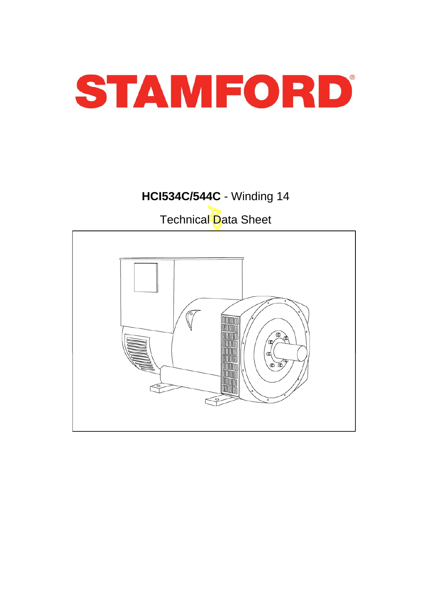

# **HCI534C/544C** - Winding 14

Technical Data Sheet

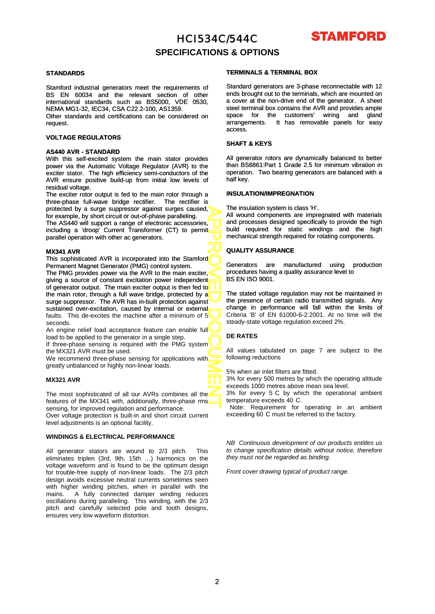

### **SPECIFICATIONS & OPTIONS**

#### **STANDARDS**

Stamford industrial generators meet the requirements of BS EN 60034 and the relevant section of other international standards such as BS5000, VDE 0530, NEMA MG1-32, IEC34, CSA C22.2-100, AS1359.

Other standards and certifications can be considered on request.

### **VOLTAGE REGULATORS**

#### **AS440 AVR - STANDARD**

With this self-excited system the main stator provides power via the Automatic Voltage Regulator (AVR) to the exciter stator. The high efficiency semi-conductors of the AVR ensure positive build-up from initial low levels of residual voltage.

The exciter rotor output is fed to the main rotor through a three-phase full-wave bridge rectifier. The rectifier is protected by a surge suppressor against surges caused, for example, by short circuit or out-of-phase paralleling.

The AS440 will support a range of electronic accessories, including a 'droop' Current Transformer (CT) to permit parallel operation with other ac generators.

#### **MX341 AVR**

This sophisticated AVR is incorporated into the Stamford Permanent Magnet Generator (PMG) control system.

APPROVED DOCUMENT The PMG provides power via the AVR to the main exciter, giving a source of constant excitation power independent of generator output. The main exciter output is then fed to the main rotor, through a full wave bridge, protected by a surge suppressor. The AVR has in-built protection against sustained over -excitation, caused by internal or external faults. This de-excites the machine after a minimum of  $5<sup>1</sup>$ seconds.

An engine relief load acceptance feature can enable full load to be applied to the generator in a single step. If three-phase sensing is required with the PMG system

the MX321 AVR must be used.

We recommend three-phase sensing for applications with greatly unbalanced or highly non-linear loads.

#### **MX321 AVR**

The most sophisticated of all our AVRs combines all the features of the MX341 with, additionally, three-phase rms sensing, for improved regulation and performance. Over voltage protection is built-in and short circuit current level adjustments is an optional facility.

### **WINDINGS & ELECTRICAL PERFORMANCE**

All generator stators are wound to 2/3 pitch. This eliminates triplen (3rd, 9th, 15th …) harmonics on the voltage waveform and is found to be the optimum design for trouble-free supply of non-linear loads. The 2/3 pitch design avoids excessive neutral currents sometimes seen with higher winding pitches, when in parallel with the mains. A fully connected damper winding reduces oscillations during paralleling. This winding, with the 2/3 pitch and carefully selected pole and tooth designs, ensures very low waveform distortion.

#### **TERMINALS & TERMINAL BOX**

Standard generators are 3-phase reconnectable with 12 ends brought out to the terminals, which are mounted on a cover at the non-drive end of the generator. A sheet steel terminal box contains the AVR and provides ample space for the customers' wiring and gland arrangements. It has removable panels for easy access.

### **SHAFT & KEYS**

All generator rotors are dynamically balanced to better than BS6861:Part 1 Grade 2.5 for minimum vibration in operation. Two bearing generators are balanced with a half key.

### **INSULATION/IMPREGNATION**

The insulation system is class 'H'.

All wound components are impregnated with materials and processes designed specifically to provide the high build required for static windings and the high mechanical strength required for rotating components.

### **QUALITY ASSURANCE**

Generators are manufactured using production procedures having a quality assurance level to BS EN ISO 9001.

The stated voltage regulation may not be maintained in the presence of certain radio transmitted signals. Any chan ge in performance will fall within the limits of Criteria 'B' of EN 61000-6-2:2001. At no time will the steady-state voltage regulation exceed 2%.

### **DE RATES**

All values tabulated on page 7 are subject to the following reductions

5% when air inlet filters are fitted.

3% for every 500 metres by which the operating altitude exceeds 1000 metres above mean sea level.

3% for every 5 C by which the operational ambient temperature exceeds 40 C.

Note: Requirement for operating in an ambient exceeding 60 C must be referred to the factory.

*NB Continuous development of our products entitles us to change specification details without notice, therefore they must not be regarded as binding.*

*Front cover drawing typical of product range.*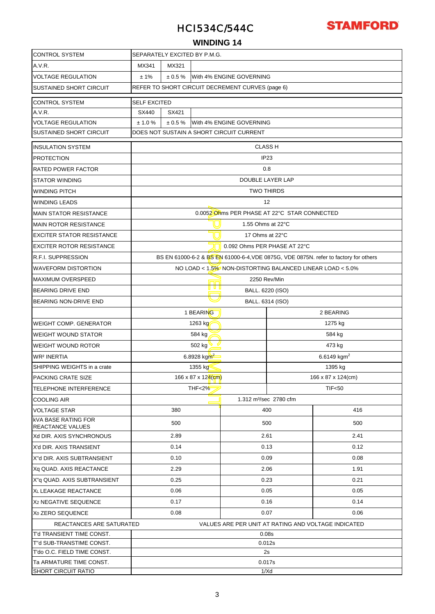

### **WINDING 14**

| <b>CONTROL SYSTEM</b>                                 | SEPARATELY EXCITED BY P.M.G.                                                         |                   |                                                     |      |           |  |  |  |  |
|-------------------------------------------------------|--------------------------------------------------------------------------------------|-------------------|-----------------------------------------------------|------|-----------|--|--|--|--|
| A.V.R.                                                | MX341<br>MX321                                                                       |                   |                                                     |      |           |  |  |  |  |
| <b>VOLTAGE REGULATION</b>                             | ± 1%<br>± 0.5%<br>With 4% ENGINE GOVERNING                                           |                   |                                                     |      |           |  |  |  |  |
| <b>SUSTAINED SHORT CIRCUIT</b>                        | REFER TO SHORT CIRCUIT DECREMENT CURVES (page 6)                                     |                   |                                                     |      |           |  |  |  |  |
| <b>CONTROL SYSTEM</b>                                 | <b>SELF EXCITED</b>                                                                  |                   |                                                     |      |           |  |  |  |  |
| A.V.R.                                                | SX440<br>SX421                                                                       |                   |                                                     |      |           |  |  |  |  |
| <b>VOLTAGE REGULATION</b>                             | ± 1.0%<br>± 0.5%<br>With 4% ENGINE GOVERNING                                         |                   |                                                     |      |           |  |  |  |  |
| SUSTAINED SHORT CIRCUIT                               | DOES NOT SUSTAIN A SHORT CIRCUIT CURRENT                                             |                   |                                                     |      |           |  |  |  |  |
| <b>INSULATION SYSTEM</b>                              | <b>CLASS H</b>                                                                       |                   |                                                     |      |           |  |  |  |  |
| <b>PROTECTION</b>                                     |                                                                                      | IP <sub>23</sub>  |                                                     |      |           |  |  |  |  |
| <b>RATED POWER FACTOR</b>                             |                                                                                      |                   | 0.8                                                 |      |           |  |  |  |  |
| <b>STATOR WINDING</b>                                 |                                                                                      |                   | DOUBLE LAYER LAP                                    |      |           |  |  |  |  |
| <b>WINDING PITCH</b>                                  |                                                                                      |                   | <b>TWO THIRDS</b>                                   |      |           |  |  |  |  |
| <b>WINDING LEADS</b>                                  |                                                                                      |                   | 12                                                  |      |           |  |  |  |  |
| <b>MAIN STATOR RESISTANCE</b>                         |                                                                                      |                   | 0.0052 Ohms PER PHASE AT 22°C STAR CONNECTED        |      |           |  |  |  |  |
| <b>MAIN ROTOR RESISTANCE</b>                          |                                                                                      | 1.55 Ohms at 22°C |                                                     |      |           |  |  |  |  |
| <b>EXCITER STATOR RESISTANCE</b>                      |                                                                                      | 17 Ohms at 22°C   |                                                     |      |           |  |  |  |  |
| <b>EXCITER ROTOR RESISTANCE</b>                       | 0.092 Ohms PER PHASE AT 22°C                                                         |                   |                                                     |      |           |  |  |  |  |
| <b>R.F.I. SUPPRESSION</b>                             | BS EN 61000-6-2 & BS EN 61000-6-4, VDE 0875G, VDE 0875N. refer to factory for others |                   |                                                     |      |           |  |  |  |  |
| <b>WAVEFORM DISTORTION</b>                            | NO LOAD < 1.5% NON-DISTORTING BALANCED LINEAR LOAD < 5.0%                            |                   |                                                     |      |           |  |  |  |  |
| <b>MAXIMUM OVERSPEED</b>                              | 2250 Rev/Min                                                                         |                   |                                                     |      |           |  |  |  |  |
| <b>BEARING DRIVE END</b>                              | u u u<br>BALL. 6220 (ISO)                                                            |                   |                                                     |      |           |  |  |  |  |
| <b>BEARING NON-DRIVE END</b>                          |                                                                                      | BALL. 6314 (ISO)  |                                                     |      |           |  |  |  |  |
|                                                       |                                                                                      | 1 BEARING         |                                                     |      | 2 BEARING |  |  |  |  |
| <b>WEIGHT COMP. GENERATOR</b>                         | 1275 kg<br>1263 kg                                                                   |                   |                                                     |      |           |  |  |  |  |
| <b>WEIGHT WOUND STATOR</b>                            | 584 kg<br>584 kg                                                                     |                   |                                                     |      |           |  |  |  |  |
| <b>WEIGHT WOUND ROTOR</b>                             | 502 kg<br>473 kg                                                                     |                   |                                                     |      |           |  |  |  |  |
| <b>WR<sup>2</sup> INERTIA</b>                         | 6.8928 kgm <sup>2</sup><br>6.6149 $kgm2$                                             |                   |                                                     |      |           |  |  |  |  |
| SHIPPING WEIGHTS in a crate                           | 1355 kg<br>1395 kg                                                                   |                   |                                                     |      |           |  |  |  |  |
| <b>PACKING CRATE SIZE</b>                             | 166 x 87 x 124(cm)<br>166 x 87 x 12 <mark>4(cm)</mark>                               |                   |                                                     |      |           |  |  |  |  |
| <b>TELEPHONE INTERFERENCE</b>                         | <b>THF&lt;2%</b><br>TIF <sub>50</sub>                                                |                   |                                                     |      |           |  |  |  |  |
| <b>COOLING AIR</b>                                    |                                                                                      |                   | 1.312 m <sup>3</sup> /sec 2780 cfm                  |      |           |  |  |  |  |
| <b>VOLTAGE STAR</b>                                   | 380                                                                                  |                   | 400                                                 |      | 416       |  |  |  |  |
| <b>KVA BASE RATING FOR</b><br><b>REACTANCE VALUES</b> | 500                                                                                  |                   | 500                                                 |      | 500       |  |  |  |  |
| Xd DIR. AXIS SYNCHRONOUS                              | 2.89                                                                                 |                   | 2.61                                                |      | 2.41      |  |  |  |  |
| X'd DIR. AXIS TRANSIENT                               | 0.14                                                                                 |                   | 0.13                                                |      | 0.12      |  |  |  |  |
| X"d DIR. AXIS SUBTRANSIENT                            | 0.10                                                                                 |                   | 0.09                                                |      | 0.08      |  |  |  |  |
| Xq QUAD. AXIS REACTANCE                               | 2.29                                                                                 |                   | 2.06                                                |      | 1.91      |  |  |  |  |
| X"q QUAD. AXIS SUBTRANSIENT                           | 0.25                                                                                 |                   | 0.23                                                |      | 0.21      |  |  |  |  |
| XL LEAKAGE REACTANCE                                  | 0.06                                                                                 |                   | 0.05                                                |      | 0.05      |  |  |  |  |
| X <sub>2</sub> NEGATIVE SEQUENCE                      | 0.17                                                                                 | 0.16              |                                                     | 0.14 |           |  |  |  |  |
| X <sub>0</sub> ZERO SEQUENCE                          | 0.08<br>0.07<br>0.06                                                                 |                   |                                                     |      |           |  |  |  |  |
| REACTANCES ARE SATURATED                              |                                                                                      |                   | VALUES ARE PER UNIT AT RATING AND VOLTAGE INDICATED |      |           |  |  |  |  |
| T'd TRANSIENT TIME CONST.                             |                                                                                      |                   | 0.08 <sub>S</sub>                                   |      |           |  |  |  |  |
| T"d SUB-TRANSTIME CONST.                              | 0.012s                                                                               |                   |                                                     |      |           |  |  |  |  |
| T'do O.C. FIELD TIME CONST.                           | 2s                                                                                   |                   |                                                     |      |           |  |  |  |  |
| Ta ARMATURE TIME CONST.<br>SHORT CIRCUIT RATIO        |                                                                                      |                   | 0.017s                                              |      |           |  |  |  |  |
|                                                       | 1/Xd                                                                                 |                   |                                                     |      |           |  |  |  |  |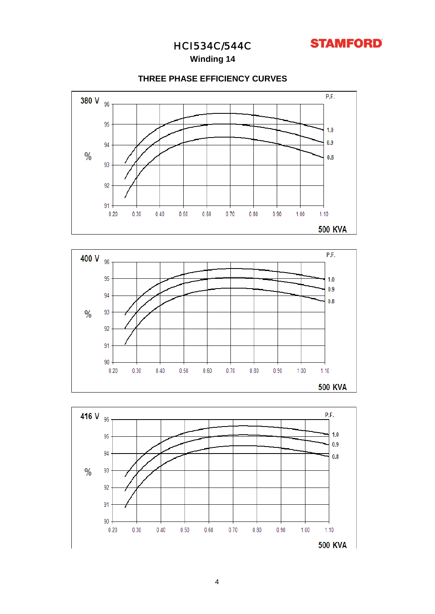

**Winding 14**

### **THREE PHASE EFFICIENCY CURVES**





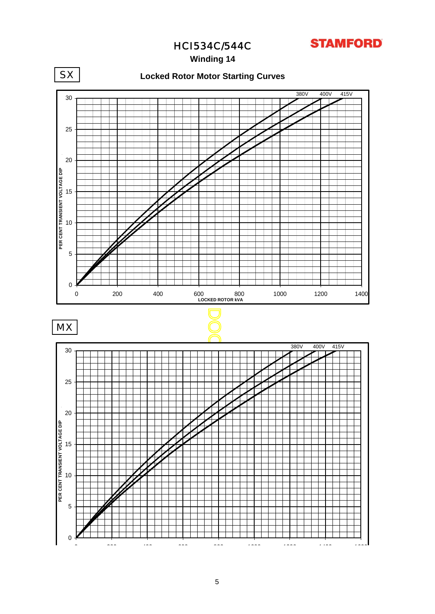**STAMFORD** 

HCI534C/544C

**Winding 14**



0 200 400 600 800 1000 1200 1400 1600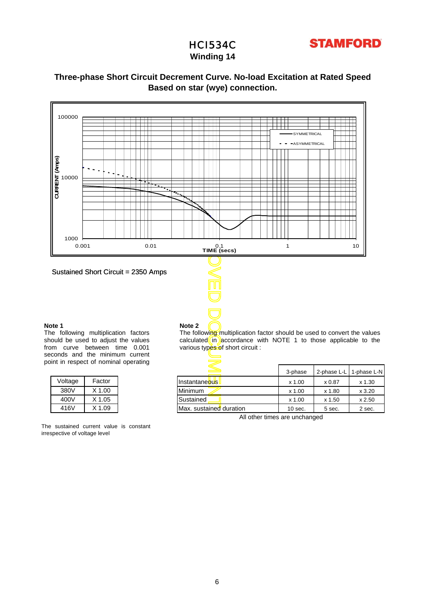## HCI534C



### **Winding 14**

### **Based on star (wye) connection. Three-phase Short Circuit Decrement Curve. No-load Excitation at Rated Speed**



#### **Note 1**

The following multiplication factors should be used to adjust the values from curve between time 0.001 seconds and the minimum current point in respect of nominal operating

| Voltage | Factor     |
|---------|------------|
| 380V    | $X$ 1.00   |
| 400V    | X 1.05     |
| 416V    | $X$ 1 $09$ |

The sustained current value is constant irrespective of voltage level

### **Note 2**

The following multiplication factor should be used to convert the values calculated  $\overline{\text{in}}$  accordance with NOTE 1 to those applicable to the various types of short circuit :

| <b>ILL LESPECT OF HUTHING OPERATING</b> |          |                         |           |        |                         |  |  |  |  |
|-----------------------------------------|----------|-------------------------|-----------|--------|-------------------------|--|--|--|--|
|                                         |          |                         | 3-phase   |        | 2-phase L-L 1-phase L-N |  |  |  |  |
| Voltage                                 | Factor   | Instantaneous           | x 1.00    | x 0.87 | $x$ 1.30                |  |  |  |  |
| 380V                                    | X 1.00   | <b>Minimum</b>          | x 1.00    | x 1.80 | $x$ 3.20                |  |  |  |  |
| 400V                                    | X 1.05   | Sustained               | x 1.00    | x 1.50 | $x$ 2.50                |  |  |  |  |
| 416V                                    | $X$ 1.09 | Max. sustained duration | $10$ sec. | 5 sec. | 2 sec.                  |  |  |  |  |

All other times are unchanged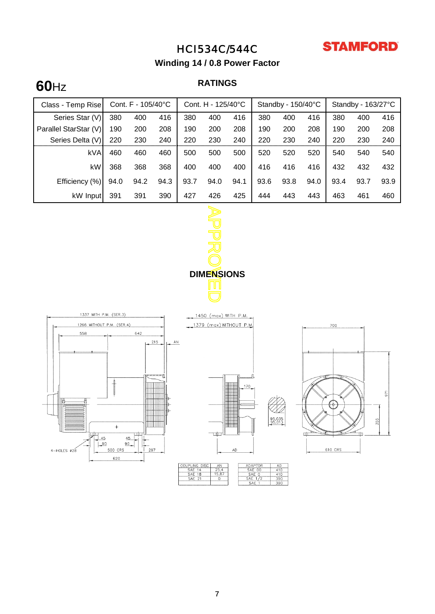

**Winding 14 / 0.8 Power Factor**

## **RATINGS 60**Hz

| Class - Temp Rise     |      | Cont. $F - 105/40^{\circ}C$ |      | Cont. H - 125/40°C |      |      | Standby - 150/40°C |      |      | Standby - 163/27°C |      |      |
|-----------------------|------|-----------------------------|------|--------------------|------|------|--------------------|------|------|--------------------|------|------|
| Series Star (V)       | 380  | 400                         | 416  | 380                | 400  | 416  | 380                | 400  | 416  | 380                | 400  | 416  |
| Parallel StarStar (V) | 190  | 200                         | 208  | 190                | 200  | 208  | 190                | 200  | 208  | 190                | 200  | 208  |
| Series Delta (V)      | 220  | 230                         | 240  | 220                | 230  | 240  | 220                | 230  | 240  | 220                | 230  | 240  |
| kVA                   | 460  | 460                         | 460  | 500                | 500  | 500  | 520                | 520  | 520  | 540                | 540  | 540  |
| kW                    | 368  | 368                         | 368  | 400                | 400  | 400  | 416                | 416  | 416  | 432                | 432  | 432  |
| Efficiency (%)        | 94.0 | 94.2                        | 94.3 | 93.7               | 94.0 | 94.1 | 93.6               | 93.8 | 94.0 | 93.4               | 93.7 | 93.9 |
| kW Input              | 391  | 391                         | 390  | 427                | 426  | 425  | 444                | 443  | 443  | 463                | 461  | 460  |



1450 (max) WITH P.M.